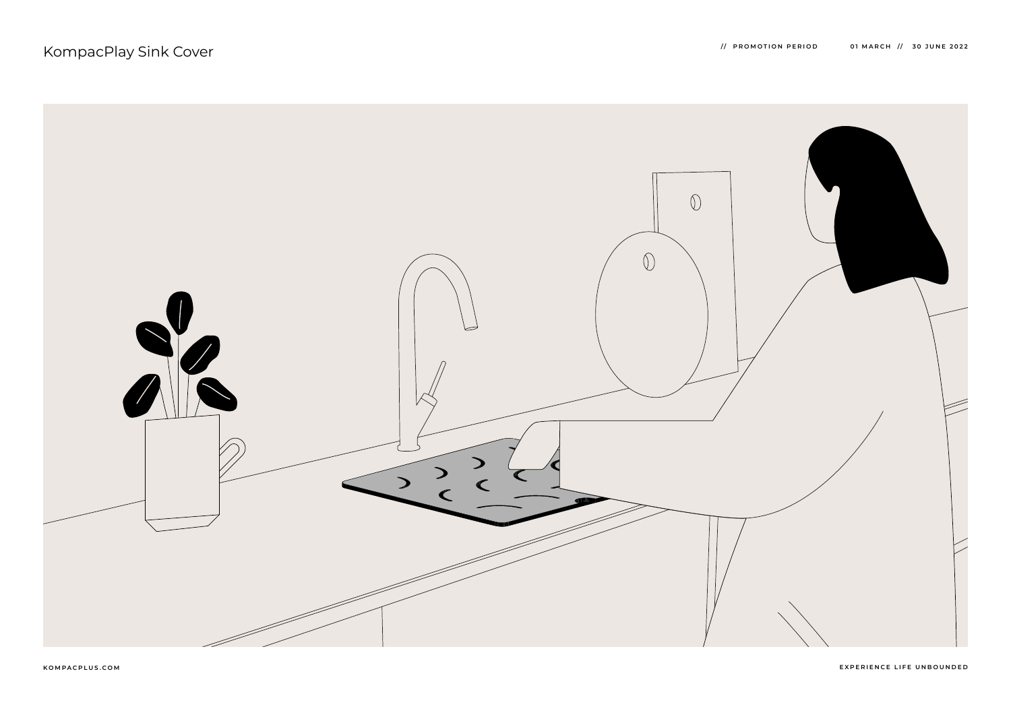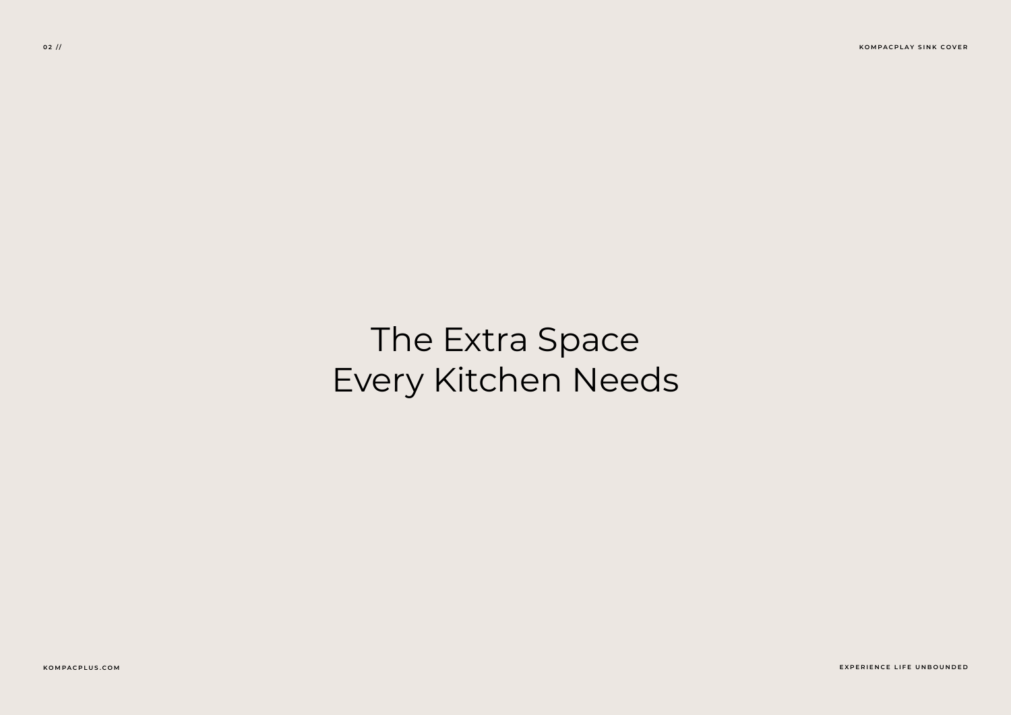**02 // KOMPACPLAY SINK COVER**

# The Extra Space Every Kitchen Needs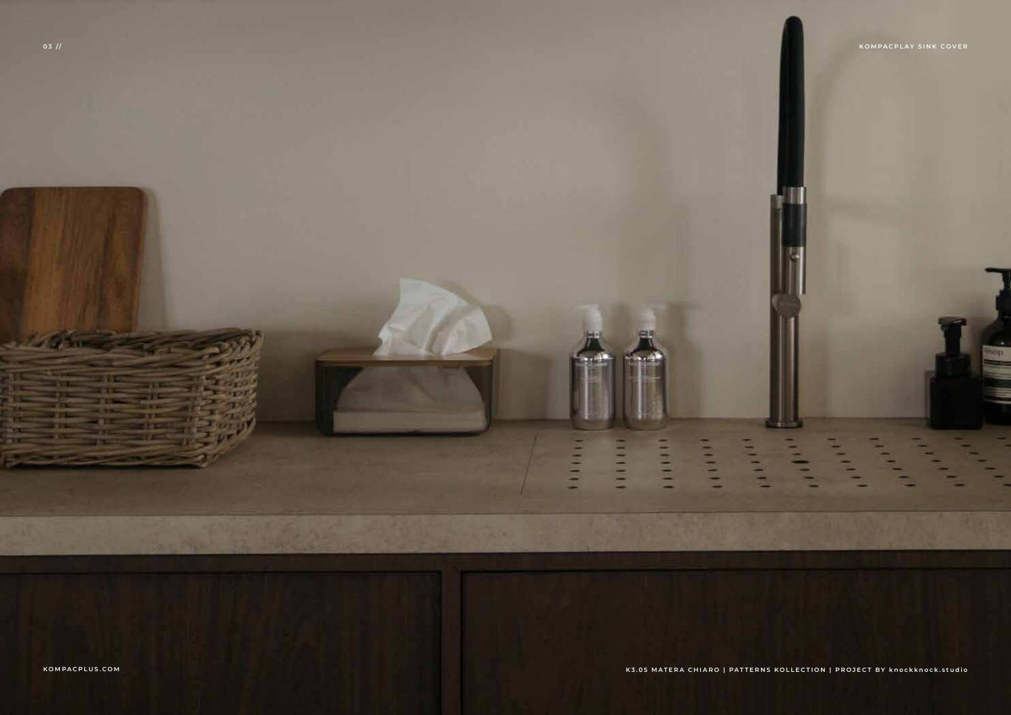

**KOMPACPLUS.COM K3.05 MATERA CHIARO | PATTERNS KOLLECTION | PROJECT BY knockknock.studio**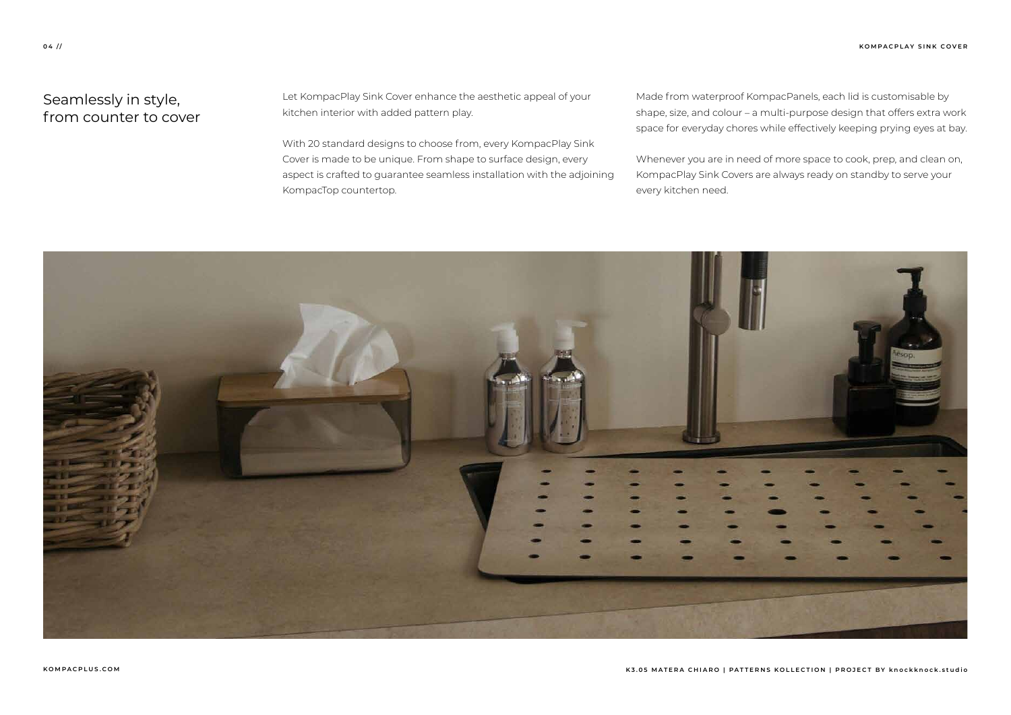#### Seamlessly in style, from counter to cover

Let KompacPlay Sink Cover enhance the aesthetic appeal of your kitchen interior with added pattern play.

With 20 standard designs to choose from, every KompacPlay Sink Cover is made to be unique. From shape to surface design, every aspect is crafted to guarantee seamless installation with the adjoining KompacTop countertop.

Made from waterproof KompacPanels, each lid is customisable by shape, size, and colour – a multi-purpose design that offers extra work space for everyday chores while effectively keeping prying eyes at bay.

Whenever you are in need of more space to cook, prep, and clean on, KompacPlay Sink Covers are always ready on standby to serve your every kitchen need.

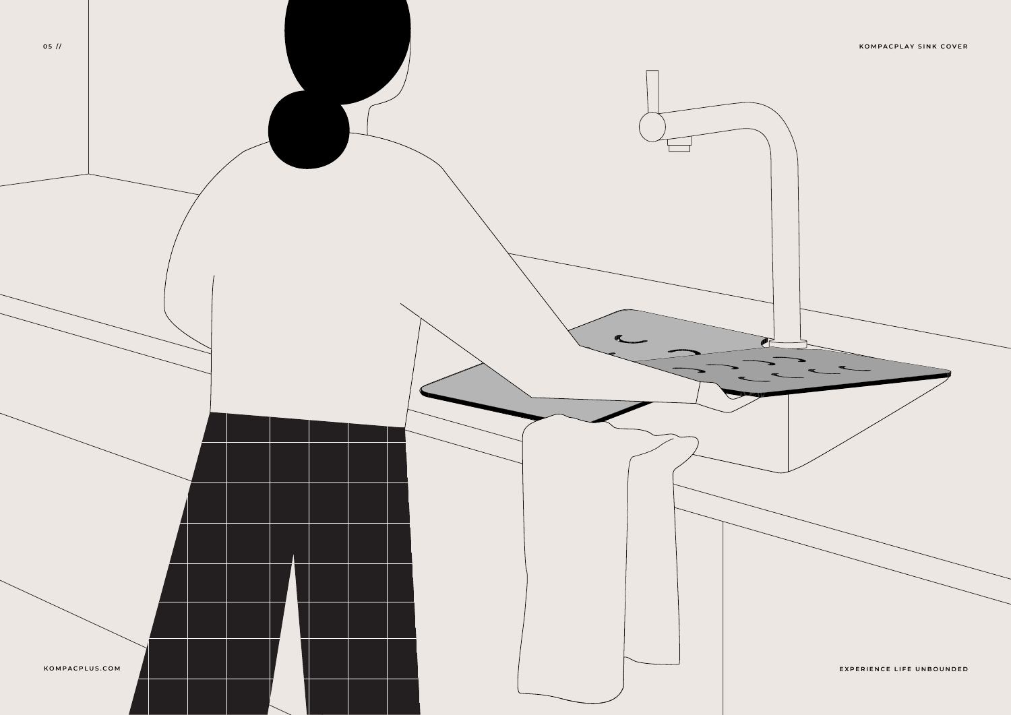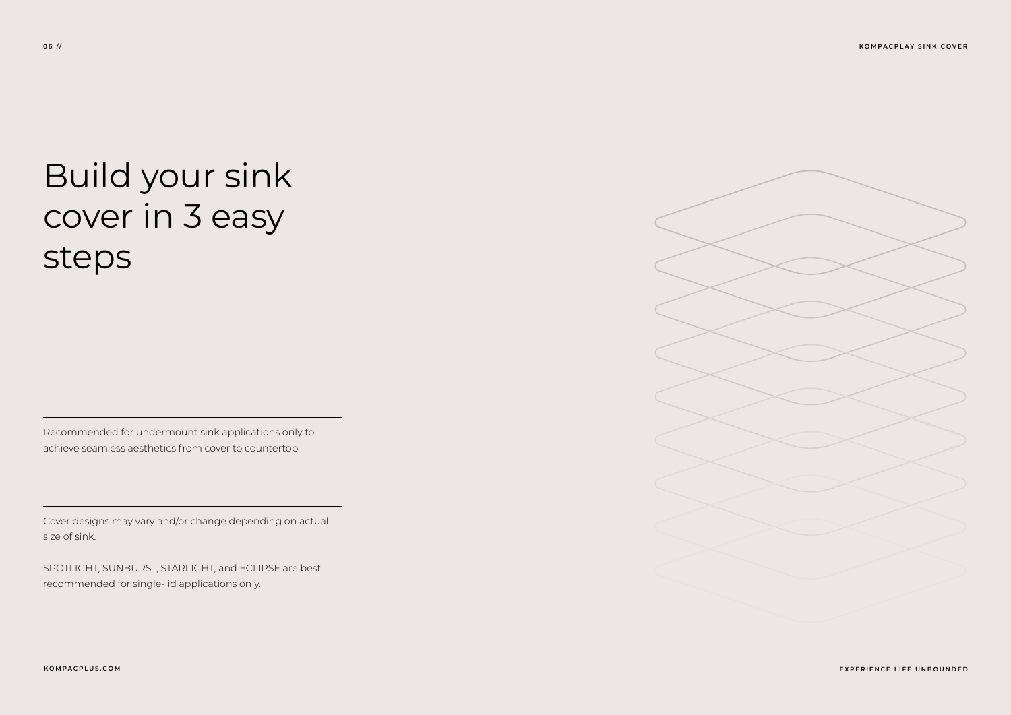# Build your sink cover in 3 easy steps

Recommended for undermount sink applications only to achieve seamless aesthetics from cover to countertop.

Cover designs may vary and/or change depending on actual size of sink.

SPOTLIGHT, SUNBURST, STARLIGHT, and ECLIPSE are best recommended for single-lid applications only.



**KOMPACPLUS.COM**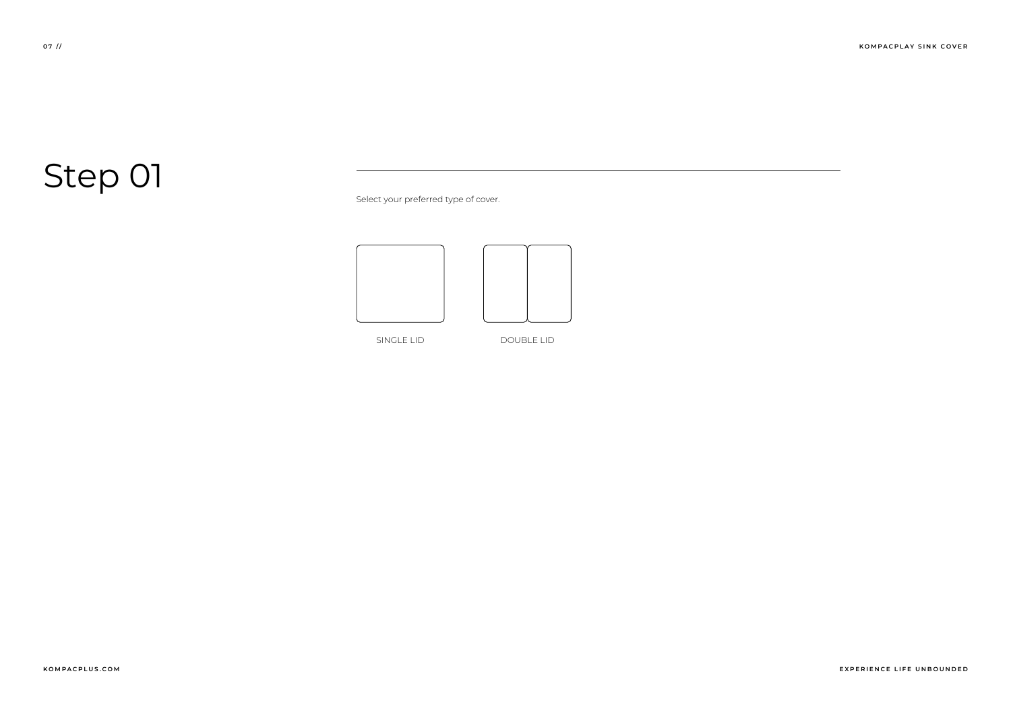## Step 01

Select your preferred type of cover.



SINGLE LID DOUBLE LID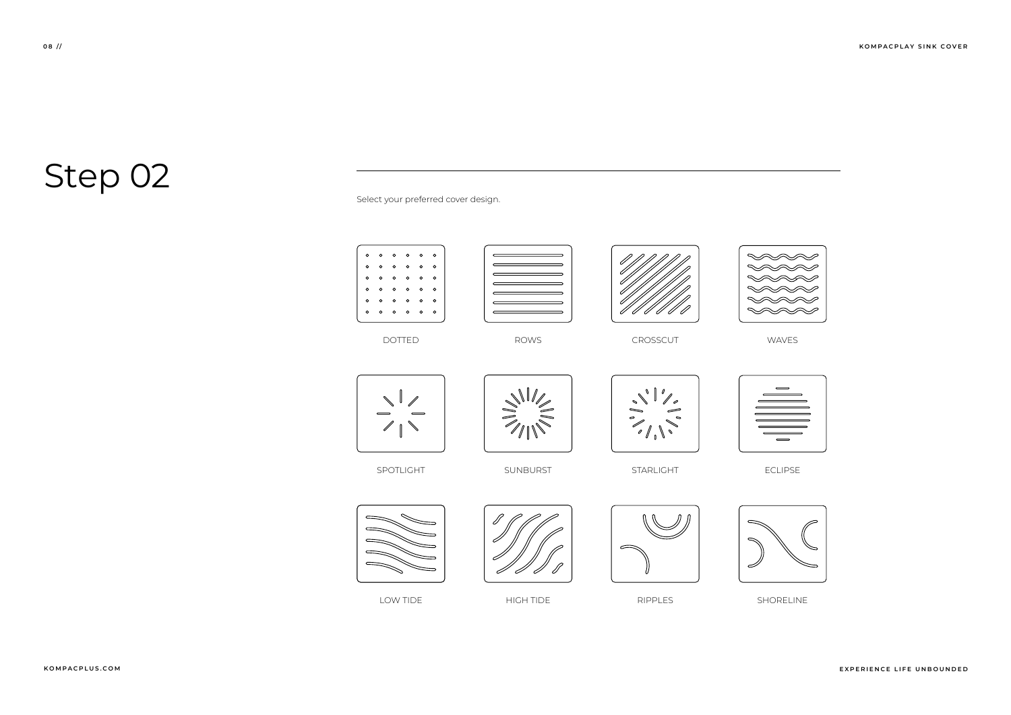### Step 02

Select your preferred cover design.







SPOTLIGHT





STARLIGHT









SUNBURST



RIPPLES









HIGH TIDE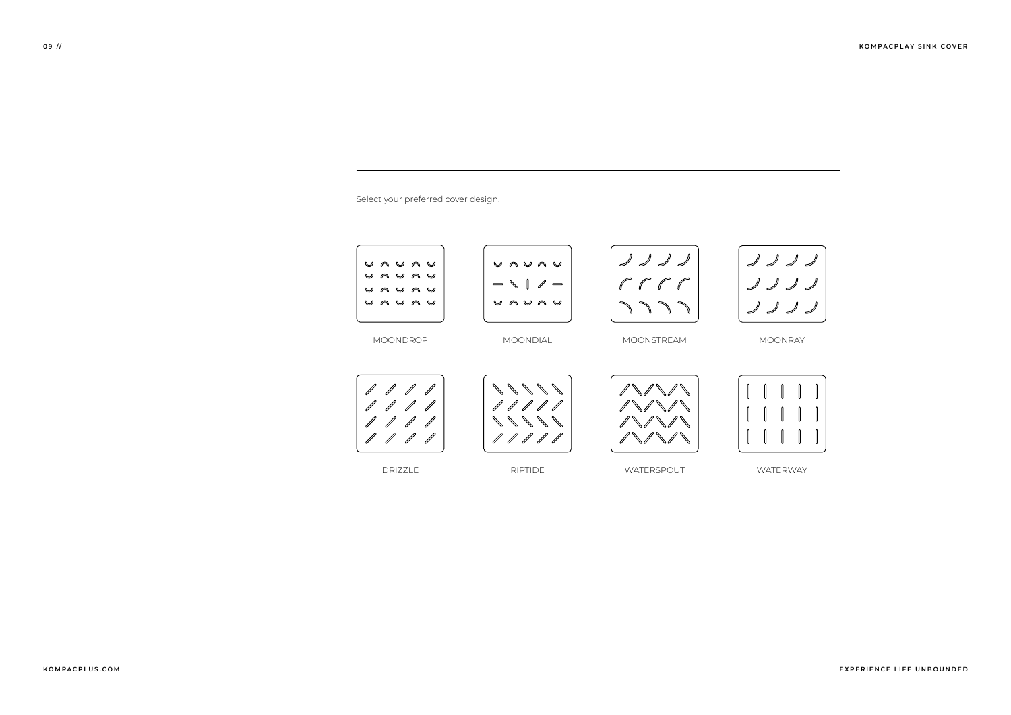Select your preferred cover design.

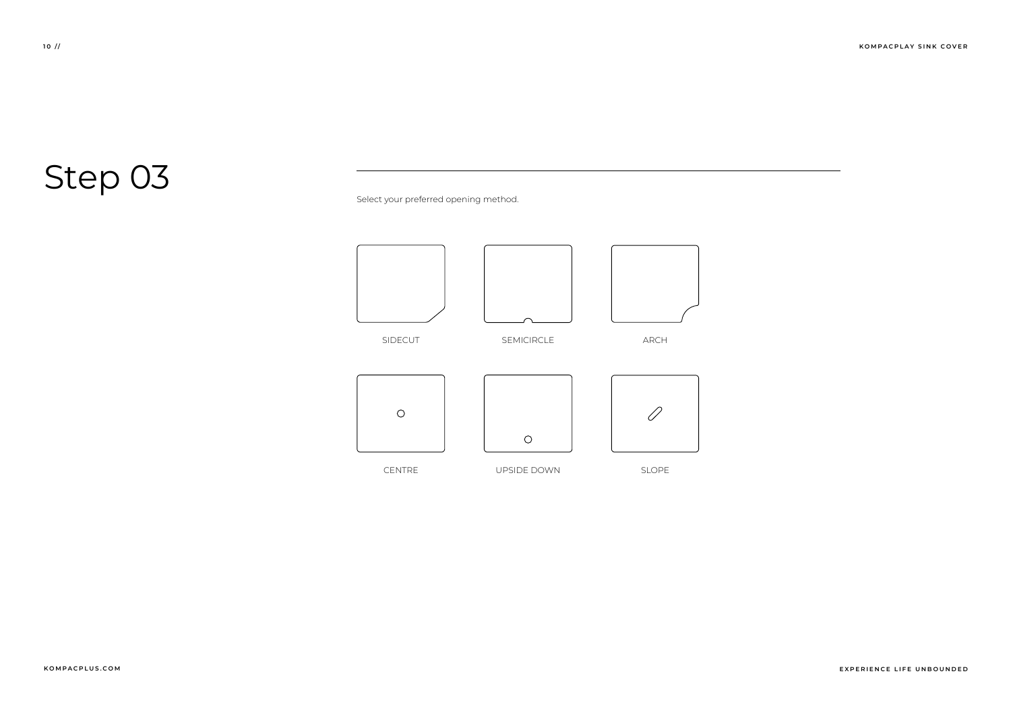### Step 03

Select your preferred opening method.

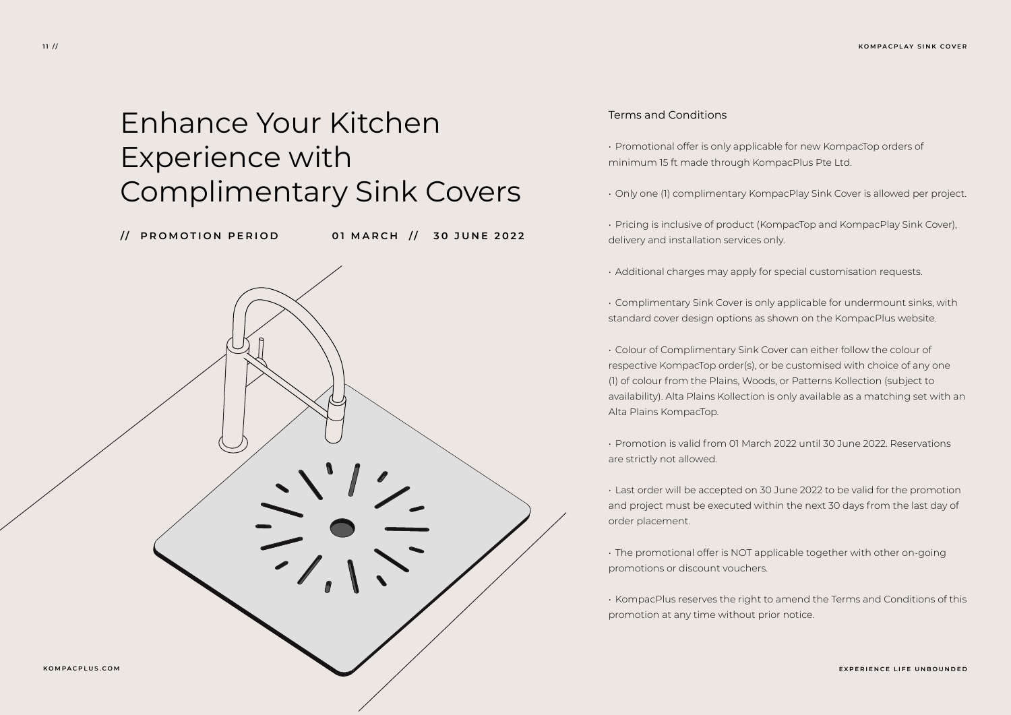#### Enhance Your Kitchen Experience with Complimentary Sink Covers

**// PROMOTION PERIOD 01 MARCH // 30 JUNE 2022**



#### Terms and Conditions

- Promotional offer is only applicable for new KompacTop orders of minimum 15 ft made through KompacPlus Pte Ltd.
- Only one (1) complimentary KompacPlay Sink Cover is allowed per project.
- Pricing is inclusive of product (KompacTop and KompacPlay Sink Cover), delivery and installation services only.
- Additional charges may apply for special customisation requests.
- Complimentary Sink Cover is only applicable for undermount sinks, with standard cover design options as shown on the KompacPlus website.

• Colour of Complimentary Sink Cover can either follow the colour of respective KompacTop order(s), or be customised with choice of any one (1) of colour from the Plains, Woods, or Patterns Kollection (subject to availability). Alta Plains Kollection is only available as a matching set with an Alta Plains KompacTop.

- Promotion is valid from 01 March 2022 until 30 June 2022. Reservations are strictly not allowed.
- Last order will be accepted on 30 June 2022 to be valid for the promotion and project must be executed within the next 30 days from the last day of order placement.
- The promotional offer is NOT applicable together with other on-going promotions or discount vouchers.
- KompacPlus reserves the right to amend the Terms and Conditions of this promotion at any time without prior notice.

**EXPERIENCE LIFE UNBOUNDED**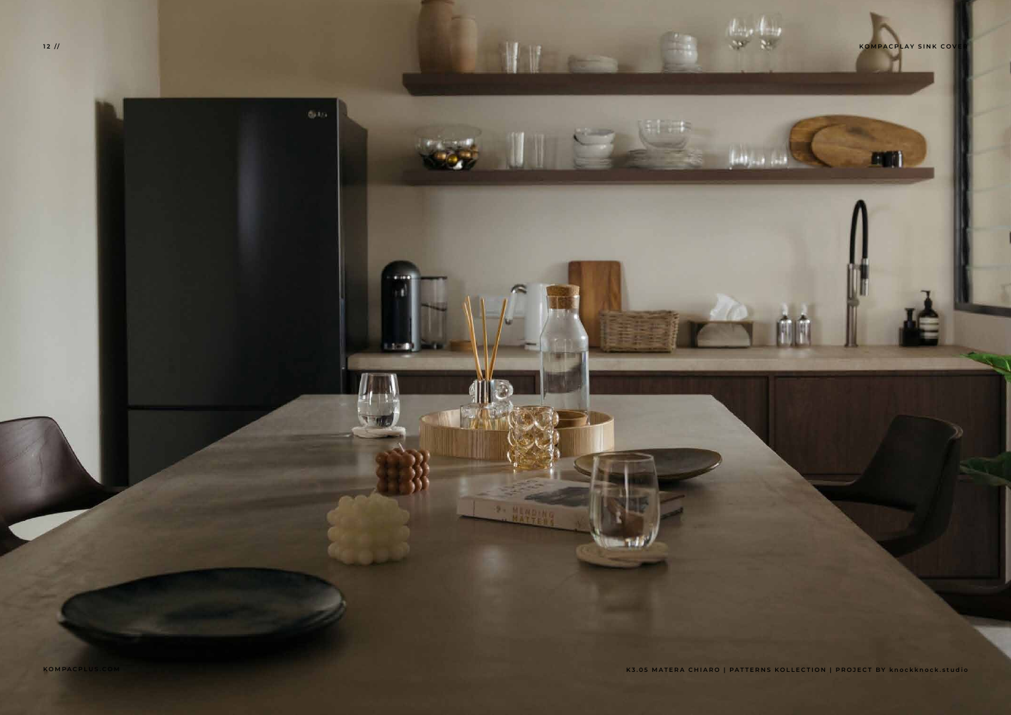